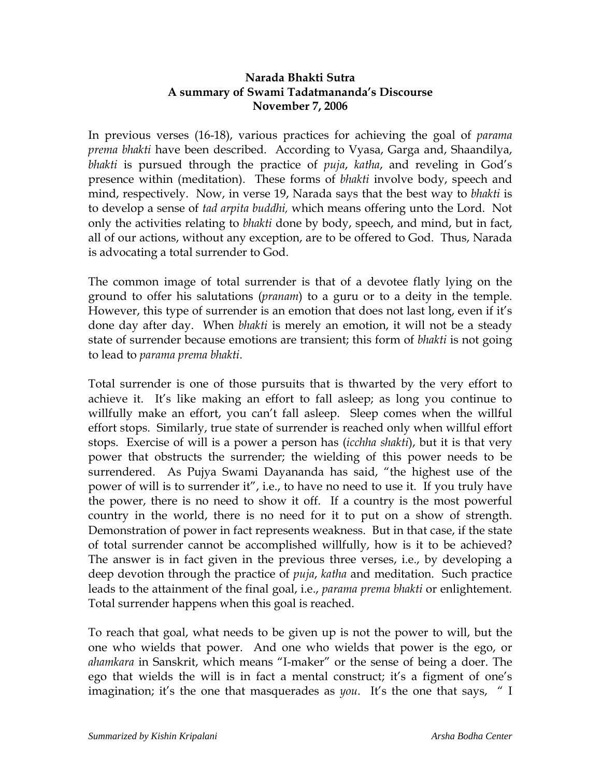## **Narada Bhakti Sutra A summary of Swami Tadatmananda's Discourse November 7, 2006**

In previous verses (16-18), various practices for achieving the goal of *parama prema bhakti* have been described. According to Vyasa, Garga and, Shaandilya, *bhakti* is pursued through the practice of *puja*, *katha*, and reveling in God's presence within (meditation). These forms of *bhakti* involve body, speech and mind, respectively. Now, in verse 19, Narada says that the best way to *bhakti* is to develop a sense of *tad arpita buddhi,* which means offering unto the Lord. Not only the activities relating to *bhakti* done by body, speech, and mind, but in fact, all of our actions, without any exception, are to be offered to God. Thus, Narada is advocating a total surrender to God.

The common image of total surrender is that of a devotee flatly lying on the ground to offer his salutations (*pranam*) to a guru or to a deity in the temple. However, this type of surrender is an emotion that does not last long, even if it's done day after day. When *bhakti* is merely an emotion, it will not be a steady state of surrender because emotions are transient; this form of *bhakti* is not going to lead to *parama prema bhakti*.

Total surrender is one of those pursuits that is thwarted by the very effort to achieve it. It's like making an effort to fall asleep; as long you continue to willfully make an effort, you can't fall asleep. Sleep comes when the willful effort stops. Similarly, true state of surrender is reached only when willful effort stops. Exercise of will is a power a person has (*icchha shakti*), but it is that very power that obstructs the surrender; the wielding of this power needs to be surrendered. As Pujya Swami Dayananda has said, "the highest use of the power of will is to surrender it", i.e., to have no need to use it. If you truly have the power, there is no need to show it off. If a country is the most powerful country in the world, there is no need for it to put on a show of strength. Demonstration of power in fact represents weakness. But in that case, if the state of total surrender cannot be accomplished willfully, how is it to be achieved? The answer is in fact given in the previous three verses, i.e., by developing a deep devotion through the practice of *puja*, *katha* and meditation. Such practice leads to the attainment of the final goal, i.e., *parama prema bhakti* or enlightement*.* Total surrender happens when this goal is reached.

To reach that goal, what needs to be given up is not the power to will, but the one who wields that power. And one who wields that power is the ego, or *ahamkara* in Sanskrit, which means "I-maker" or the sense of being a doer. The ego that wields the will is in fact a mental construct; it's a figment of one's imagination; it's the one that masquerades as *you*. It's the one that says, " I